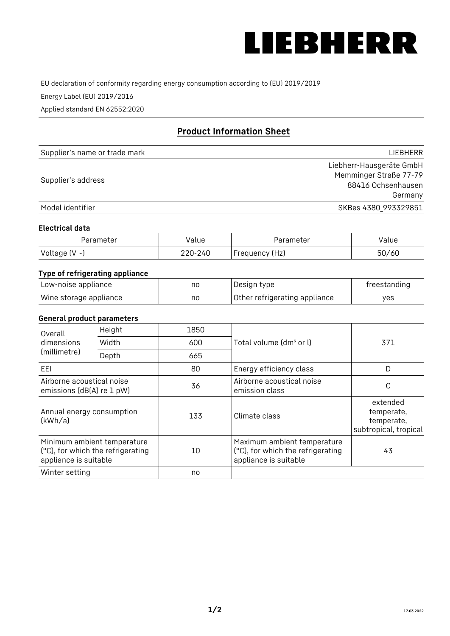

EU declaration of conformity regarding energy consumption according to (EU) 2019/2019

Energy Label (EU) 2019/2016

Applied standard EN 62552:2020

# **Product Information Sheet**

| Supplier's name or trade mark | LIEBHERR                 |
|-------------------------------|--------------------------|
|                               | Liebherr-Hausgeräte GmbH |
| Supplier's address            | Memminger Straße 77-79   |
|                               | 88416 Ochsenhausen       |
|                               | Germany                  |
| Model identifier              | SKBes 4380_993329851     |

## **Electrical data**

| Parameter          | Value   | Parameter       | √alue |
|--------------------|---------|-----------------|-------|
| Voltage $(V \sim)$ | 220-240 | 'Frequency (Hz) | 50/60 |

# **Type of refrigerating appliance**

| Low-noise appliance    | nc | Design type                   | freestanding |
|------------------------|----|-------------------------------|--------------|
| Wine storage appliance | nc | Other refrigerating appliance | ves          |

## **General product parameters**

| Height<br>Overall                                      |                                                                  | 1850 |                                                                                           |                                                               |
|--------------------------------------------------------|------------------------------------------------------------------|------|-------------------------------------------------------------------------------------------|---------------------------------------------------------------|
| dimensions<br>(millimetre)                             | Width                                                            | 600  | Total volume (dm <sup>3</sup> or l)                                                       | 371                                                           |
|                                                        | Depth                                                            | 665  |                                                                                           |                                                               |
| EEL                                                    |                                                                  | 80   | Energy efficiency class                                                                   | D                                                             |
| Airborne acoustical noise<br>emissions (dB(A) re 1 pW) |                                                                  | 36   | Airborne acoustical noise<br>emission class                                               | С                                                             |
| Annual energy consumption<br>(kWh/a)                   |                                                                  | 133  | Climate class                                                                             | extended<br>temperate,<br>temperate,<br>subtropical, tropical |
| appliance is suitable                                  | Minimum ambient temperature<br>(°C), for which the refrigerating | 10   | Maximum ambient temperature<br>(°C), for which the refrigerating<br>appliance is suitable | 43                                                            |
| Winter setting                                         |                                                                  | no   |                                                                                           |                                                               |